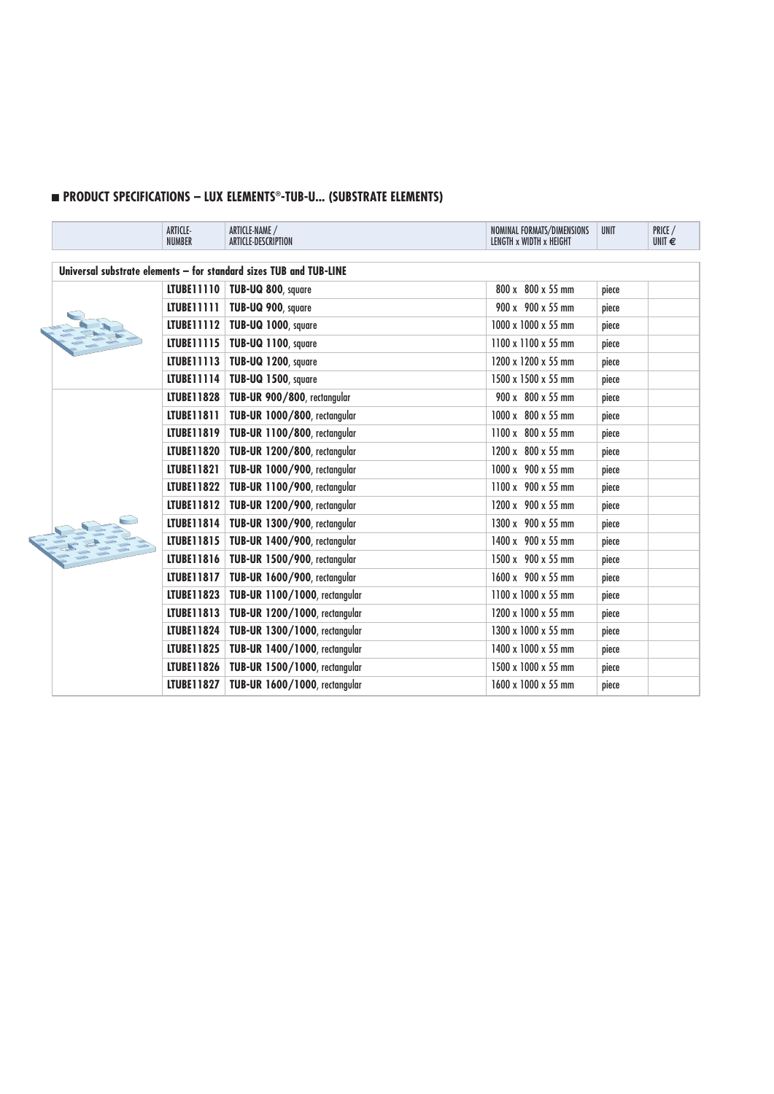## n **PRODUCT SPECIFICATIONS – LUX ELEMENTS®-TUB-U... (SUBSTRATE ELEMENTS)**

|  | ARTICLE-<br><b>NUMBER</b> | ARTICLE-NAME /<br>ARTICLE-DESCRIPTION                              | NOMINAL FORMATS/DIMENSIONS<br>LENGTH x WIDTH x HEIGHT | <b>UNIT</b> | PRICE /<br>UNIT $\epsilon$ |
|--|---------------------------|--------------------------------------------------------------------|-------------------------------------------------------|-------------|----------------------------|
|  |                           | Universal substrate elements - for standard sizes TUB and TUB-LINE |                                                       |             |                            |
|  |                           | LTUBE11110   TUB-UQ 800, square                                    | 800 x 800 x 55 mm                                     | piece       |                            |
|  | LTUBE11111                | TUB-UQ 900, square                                                 | 900 x 900 x 55 mm                                     | piece       |                            |
|  | LTUBE11112                | TUB-UQ 1000, square                                                | 1000 x 1000 x 55 mm                                   | piece       |                            |
|  | LTUBE11115                | TUB-UQ 1100, square                                                | $1100 \times 1100 \times 55$ mm                       | piece       |                            |
|  | LTUBE11113                | TUB-UQ 1200, square                                                | 1200 x 1200 x 55 mm                                   | piece       |                            |
|  | LTUBE11114                | TUB-UQ 1500, square                                                | 1500 x 1500 x 55 mm                                   | piece       |                            |
|  | <b>LTUBE11828</b>         | TUB-UR 900/800, rectangular                                        | 900 x 800 x 55 mm                                     | piece       |                            |
|  | LTUBE11811                | TUB-UR 1000/800, rectangular                                       | $1000 \times 800 \times 55$ mm                        | piece       |                            |
|  | LTUBE11819                | TUB-UR 1100/800, rectangular                                       | 1100 x 800 x 55 mm                                    | piece       |                            |
|  | LTUBE11820                | TUB-UR 1200/800, rectangular                                       | 1200 x 800 x 55 mm                                    | piece       |                            |
|  | LTUBE11821                | TUB-UR 1000/900, rectangular                                       | $1000 \times 900 \times 55$ mm                        | piece       |                            |
|  | LTUBE11822                | TUB-UR 1100/900, rectangular                                       | 1100 x 900 x 55 mm                                    | piece       |                            |
|  |                           | LTUBE11812   TUB-UR 1200/900, rectangular                          | 1200 x 900 x 55 mm                                    | piece       |                            |
|  | LTUBE11814                | TUB-UR 1300/900, rectangular                                       | 1300 x 900 x 55 mm                                    | piece       |                            |
|  | LTUBE11815                | TUB-UR 1400/900, rectangular                                       | 1400 x 900 x 55 mm                                    | piece       |                            |
|  | LTUBE11816                | TUB-UR 1500/900, rectangular                                       | 1500 x 900 x 55 mm                                    | piece       |                            |
|  | LTUBE11817                | TUB-UR 1600/900, rectangular                                       | 1600 x 900 x 55 mm                                    | piece       |                            |
|  |                           | LTUBE11823   TUB-UR 1100/1000, rectangular                         | $1100 \times 1000 \times 55$ mm                       | piece       |                            |
|  |                           | LTUBE11813   TUB-UR 1200/1000, rectangular                         | 1200 x 1000 x 55 mm                                   | piece       |                            |
|  | LTUBE11824                | TUB-UR 1300/1000, rectangular                                      | 1300 x 1000 x 55 mm                                   | piece       |                            |
|  | LTUBE11825                | TUB-UR 1400/1000, rectangular                                      | 1400 x 1000 x 55 mm                                   | piece       |                            |
|  | LTUBE11826                | TUB-UR 1500/1000, rectangular                                      | 1500 x 1000 x 55 mm                                   | piece       |                            |
|  | LTUBE11827                | TUB-UR 1600/1000, rectangular                                      | $1600 \times 1000 \times 55$ mm                       | piece       |                            |